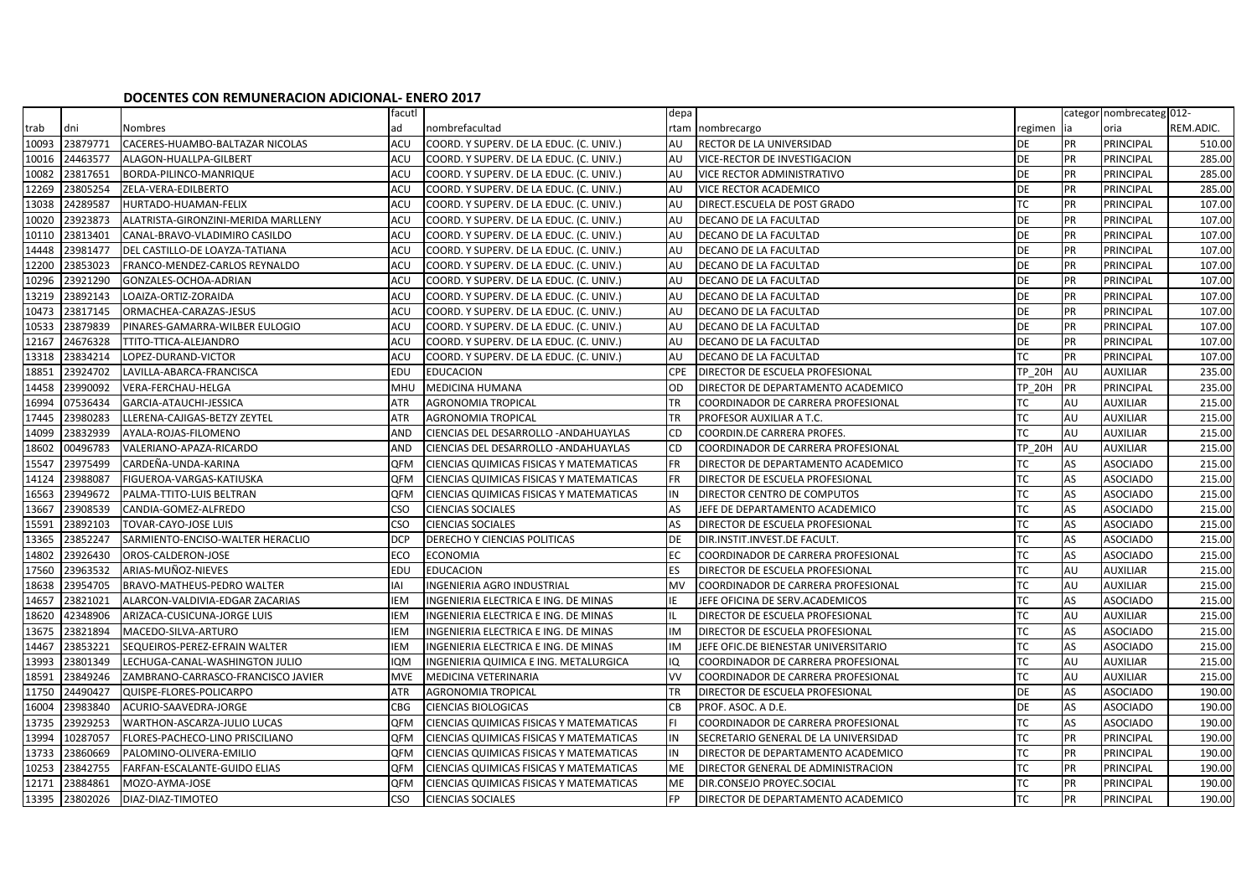## **DOCENTES CON REMUNERACION ADICIONAL- ENERO 2017**

|       |          |                                     | facutl     |                                         | depa       |                                      | categor nombrecateg 012- |    |                  |           |
|-------|----------|-------------------------------------|------------|-----------------------------------------|------------|--------------------------------------|--------------------------|----|------------------|-----------|
| trab  | dni      | Nombres                             | ad         | nombrefacultad                          | rtam       | nombrecargo                          | regimen ia               |    | oria             | REM.ADIC. |
| 10093 | 23879771 | CACERES-HUAMBO-BALTAZAR NICOLAS     | ACU        | COORD. Y SUPERV. DE LA EDUC. (C. UNIV.) | AU         | RECTOR DE LA UNIVERSIDAD             | DE                       | PR | PRINCIPAL        | 510.00    |
| 10016 | 24463577 | ALAGON-HUALLPA-GILBERT              | ACU        | COORD. Y SUPERV. DE LA EDUC. (C. UNIV.) | AU         | VICE-RECTOR DE INVESTIGACION         | <b>DE</b>                | PR | PRINCIPAL        | 285.00    |
| 10082 | 23817651 | BORDA-PILINCO-MANRIQUE              | ACU        | COORD. Y SUPERV. DE LA EDUC. (C. UNIV.) | AU         | VICE RECTOR ADMINISTRATIVO           | <b>DE</b>                | PR | PRINCIPAL        | 285.00    |
| 12269 | 23805254 | ZELA-VERA-EDILBERTO                 | ACU        | COORD. Y SUPERV. DE LA EDUC. (C. UNIV.) | AU         | VICE RECTOR ACADEMICO                | <b>DE</b>                | PR | PRINCIPAL        | 285.00    |
| 13038 | 24289587 | HURTADO-HUAMAN-FELIX                | ACU        | COORD. Y SUPERV. DE LA EDUC. (C. UNIV.) | AU         | DIRECT.ESCUELA DE POST GRADO         | ТC                       | PR | PRINCIPAL        | 107.00    |
| 10020 | 23923873 | ALATRISTA-GIRONZINI-MERIDA MARLLENY | ACU        | COORD. Y SUPERV. DE LA EDUC. (C. UNIV.) | AU         | DECANO DE LA FACULTAD                | DE                       | PR | PRINCIPAL        | 107.00    |
| 10110 | 23813401 | CANAL-BRAVO-VLADIMIRO CASILDO       | ACU        | COORD. Y SUPERV. DE LA EDUC. (C. UNIV.) | AU         | DECANO DE LA FACULTAD                | DE                       | PR | PRINCIPAL        | 107.00    |
| 14448 | 23981477 | DEL CASTILLO-DE LOAYZA-TATIANA      | ACU        | COORD. Y SUPERV. DE LA EDUC. (C. UNIV.) | AU         | DECANO DE LA FACULTAD                | DE                       | PR | PRINCIPAL        | 107.00    |
| 12200 | 23853023 | FRANCO-MENDEZ-CARLOS REYNALDO       | ACU        | COORD. Y SUPERV. DE LA EDUC. (C. UNIV.) | AU         | DECANO DE LA FACULTAD                | DE                       | PR | PRINCIPAL        | 107.00    |
| 10296 | 23921290 | GONZALES-OCHOA-ADRIAN               | ACU        | COORD. Y SUPERV. DE LA EDUC. (C. UNIV.) | AU         | DECANO DE LA FACULTAD                | DE                       | PR | PRINCIPAL        | 107.00    |
| 13219 | 23892143 | LOAIZA-ORTIZ-ZORAIDA                | ACU        | COORD. Y SUPERV. DE LA EDUC. (C. UNIV.) | AU         | DECANO DE LA FACULTAD                | DE                       | PR | PRINCIPAL        | 107.00    |
| 10473 | 23817145 | ORMACHEA-CARAZAS-JESUS              | ACU        | COORD. Y SUPERV. DE LA EDUC. (C. UNIV.) | AU         | DECANO DE LA FACULTAD                | DE                       | PR | PRINCIPAL        | 107.00    |
| 10533 | 23879839 | PINARES-GAMARRA-WILBER EULOGIO      | ACU        | COORD. Y SUPERV. DE LA EDUC. (C. UNIV.) | AU         | DECANO DE LA FACULTAD                | DE                       | PR | PRINCIPAL        | 107.00    |
| 12167 | 24676328 | TTITO-TTICA-ALEJANDRO               | ACU        | COORD. Y SUPERV. DE LA EDUC. (C. UNIV.) | AU         | DECANO DE LA FACULTAD                | <b>DE</b>                | PR | PRINCIPAL        | 107.00    |
| 13318 | 23834214 | LOPEZ-DURAND-VICTOR                 | ACU        | COORD. Y SUPERV. DE LA EDUC. (C. UNIV.) | AU         | DECANO DE LA FACULTAD                | ТC                       | PR | PRINCIPAL        | 107.00    |
| 18851 | 23924702 | LAVILLA-ABARCA-FRANCISCA            | EDU        | <b>EDUCACION</b>                        | <b>CPE</b> | DIRECTOR DE ESCUELA PROFESIONAL      | TP 20H                   | AU | <b>AUXILIAR</b>  | 235.00    |
| 14458 | 23990092 | VERA-FERCHAU-HELGA                  | MHU        | MEDICINA HUMANA                         | OD         | DIRECTOR DE DEPARTAMENTO ACADEMICO   | TP 20H                   | PR | PRINCIPAL        | 235.00    |
| 16994 | 07536434 | GARCIA-ATAUCHI-JESSICA              | <b>ATR</b> | <b>AGRONOMIA TROPICAL</b>               | <b>TR</b>  | COORDINADOR DE CARRERA PROFESIONAL   | ТC                       | AU | <b>AUXILIAR</b>  | 215.00    |
| 17445 | 23980283 | LLERENA-CAJIGAS-BETZY ZEYTEL        | <b>ATR</b> | <b>AGRONOMIA TROPICAL</b>               | <b>TR</b>  | PROFESOR AUXILIAR A T.C.             | ТC                       | AU | <b>AUXILIAR</b>  | 215.00    |
| 14099 | 23832939 | AYALA-ROJAS-FILOMENO                | <b>AND</b> | CIENCIAS DEL DESARROLLO - ANDAHUAYLAS   | CD         | COORDIN.DE CARRERA PROFES.           | ТC                       | AU | <b>AUXILIAR</b>  | 215.00    |
| 18602 | 00496783 | VALERIANO-APAZA-RICARDO             | <b>AND</b> | CIENCIAS DEL DESARROLLO - ANDAHUAYLAS   | <b>CD</b>  | COORDINADOR DE CARRERA PROFESIONAL   | TP 20H                   | AU | AUXILIAR         | 215.00    |
| 15547 | 23975499 | CARDEÑA-UNDA-KARINA                 | QFM        | CIENCIAS QUIMICAS FISICAS Y MATEMATICAS | <b>FR</b>  | DIRECTOR DE DEPARTAMENTO ACADEMICO   | ТC                       | AS | <b>ASOCIADO</b>  | 215.00    |
| 14124 | 23988087 | FIGUEROA-VARGAS-KATIUSKA            | QFM        | CIENCIAS QUIMICAS FISICAS Y MATEMATICAS | <b>FR</b>  | DIRECTOR DE ESCUELA PROFESIONAL      | ТC                       | AS | <b>ASOCIADO</b>  | 215.00    |
| 16563 | 23949672 | PALMA-TTITO-LUIS BELTRAN            | QFM        | CIENCIAS QUIMICAS FISICAS Y MATEMATICAS | IN         | DIRECTOR CENTRO DE COMPUTOS          | ТC                       | AS | <b>ASOCIADO</b>  | 215.00    |
| 13667 | 23908539 | CANDIA-GOMEZ-ALFREDO                | CSO        | <b>CIENCIAS SOCIALES</b>                | AS         | JEFE DE DEPARTAMENTO ACADEMICO       | ТC                       | AS | <b>ASOCIADO</b>  | 215.00    |
| 15591 | 23892103 | TOVAR-CAYO-JOSE LUIS                | CSO        | <b>CIENCIAS SOCIALES</b>                | AS         | DIRECTOR DE ESCUELA PROFESIONAL      | ТC                       | AS | <b>ASOCIADO</b>  | 215.00    |
| 13365 | 23852247 | SARMIENTO-ENCISO-WALTER HERACLIO    | <b>DCP</b> | DERECHO Y CIENCIAS POLITICAS            | DE         | DIR.INSTIT.INVEST.DE FACULT.         | ТC                       | AS | <b>ASOCIADO</b>  | 215.00    |
| 14802 | 23926430 | OROS-CALDERON-JOSE                  | <b>ECO</b> | <b>ECONOMIA</b>                         | EC         | COORDINADOR DE CARRERA PROFESIONAL   | ТC                       | AS | <b>ASOCIADO</b>  | 215.00    |
| 17560 | 23963532 | ARIAS-MUÑOZ-NIEVES                  | <b>EDU</b> | <b>EDUCACION</b>                        | <b>ES</b>  | DIRECTOR DE ESCUELA PROFESIONAL      | ТC                       | AU | AUXILIAR         | 215.00    |
| 18638 | 23954705 | BRAVO-MATHEUS-PEDRO WALTER          | <b>IAI</b> | INGENIERIA AGRO INDUSTRIAL              | <b>MV</b>  | COORDINADOR DE CARRERA PROFESIONAL   | ТC                       | AU | AUXILIAR         | 215.00    |
| 14657 | 23821021 | ALARCON-VALDIVIA-EDGAR ZACARIAS     | <b>IEM</b> | INGENIERIA ELECTRICA E ING. DE MINAS    | IE         | JEFE OFICINA DE SERV.ACADEMICOS      | ТC                       | AS | <b>ASOCIADO</b>  | 215.00    |
| 18620 | 42348906 | ARIZACA-CUSICUNA-JORGE LUIS         | <b>IEM</b> | INGENIERIA ELECTRICA E ING. DE MINAS    |            | DIRECTOR DE ESCUELA PROFESIONAL      | ТC                       | AU | <b>AUXILIAR</b>  | 215.00    |
| 13675 | 23821894 | MACEDO-SILVA-ARTURO                 | <b>IEM</b> | INGENIERIA ELECTRICA E ING. DE MINAS    | IM         | DIRECTOR DE ESCUELA PROFESIONAL      | ТC                       | AS | <b>ASOCIADO</b>  | 215.00    |
| 14467 | 23853221 | SEQUEIROS-PEREZ-EFRAIN WALTER       | <b>IEM</b> | INGENIERIA ELECTRICA E ING. DE MINAS    | IM         | JEFE OFIC.DE BIENESTAR UNIVERSITARIO | ТC                       | AS | <b>ASOCIADO</b>  | 215.00    |
| 13993 | 23801349 | LECHUGA-CANAL-WASHINGTON JULIO      | <b>IQM</b> | INGENIERIA QUIMICA E ING. METALURGICA   | IQ         | COORDINADOR DE CARRERA PROFESIONAL   | ТC                       | AU | AUXILIAR         | 215.00    |
| 18591 | 23849246 | ZAMBRANO-CARRASCO-FRANCISCO JAVIER  | <b>MVE</b> | MEDICINA VETERINARIA                    | VV         | COORDINADOR DE CARRERA PROFESIONAL   | ТC                       | AU | <b>AUXILIAR</b>  | 215.00    |
| 11750 | 24490427 | QUISPE-FLORES-POLICARPO             | <b>ATR</b> | <b>AGRONOMIA TROPICAL</b>               | <b>TR</b>  | DIRECTOR DE ESCUELA PROFESIONAL      | <b>DE</b>                | AS | <b>ASOCIADO</b>  | 190.00    |
| 16004 | 23983840 | ACURIO-SAAVEDRA-JORGE               | <b>CBG</b> | <b>CIENCIAS BIOLOGICAS</b>              | <b>CB</b>  | PROF. ASOC. A D.E.                   | <b>DE</b>                | AS | <b>ASOCIADO</b>  | 190.00    |
| 13735 | 23929253 | WARTHON-ASCARZA-JULIO LUCAS         | <b>QFM</b> | CIENCIAS QUIMICAS FISICAS Y MATEMATICAS | FI         | COORDINADOR DE CARRERA PROFESIONAL   | ТC                       | AS | <b>ASOCIADO</b>  | 190.00    |
| 13994 | 10287057 | FLORES-PACHECO-LINO PRISCILIANO     | QFM        | CIENCIAS QUIMICAS FISICAS Y MATEMATICAS | IN         | SECRETARIO GENERAL DE LA UNIVERSIDAD | ТC                       | PR | PRINCIPAL        | 190.00    |
| 13733 | 23860669 | PALOMINO-OLIVERA-EMILIO             | QFM        | CIENCIAS QUIMICAS FISICAS Y MATEMATICAS | IN         | DIRECTOR DE DEPARTAMENTO ACADEMICO   | ТC                       | PR | PRINCIPAL        | 190.00    |
| 10253 | 23842755 | FARFAN-ESCALANTE-GUIDO ELIAS        | QFM        | CIENCIAS QUIMICAS FISICAS Y MATEMATICAS | ME         | DIRECTOR GENERAL DE ADMINISTRACION   | ТC                       | PR | PRINCIPAL        | 190.00    |
| 12171 | 23884861 | MOZO-AYMA-JOSE                      | <b>QFM</b> | CIENCIAS QUIMICAS FISICAS Y MATEMATICAS | <b>ME</b>  | DIR.CONSEJO PROYEC.SOCIAL            | ТC                       | PR | PRINCIPAL        | 190.00    |
| 13395 | 23802026 | DIAZ-DIAZ-TIMOTEO                   | CSO        | <b>CIENCIAS SOCIALES</b>                | <b>FP</b>  | DIRECTOR DE DEPARTAMENTO ACADEMICO   | ТC                       | PR | <b>PRINCIPAL</b> | 190.00    |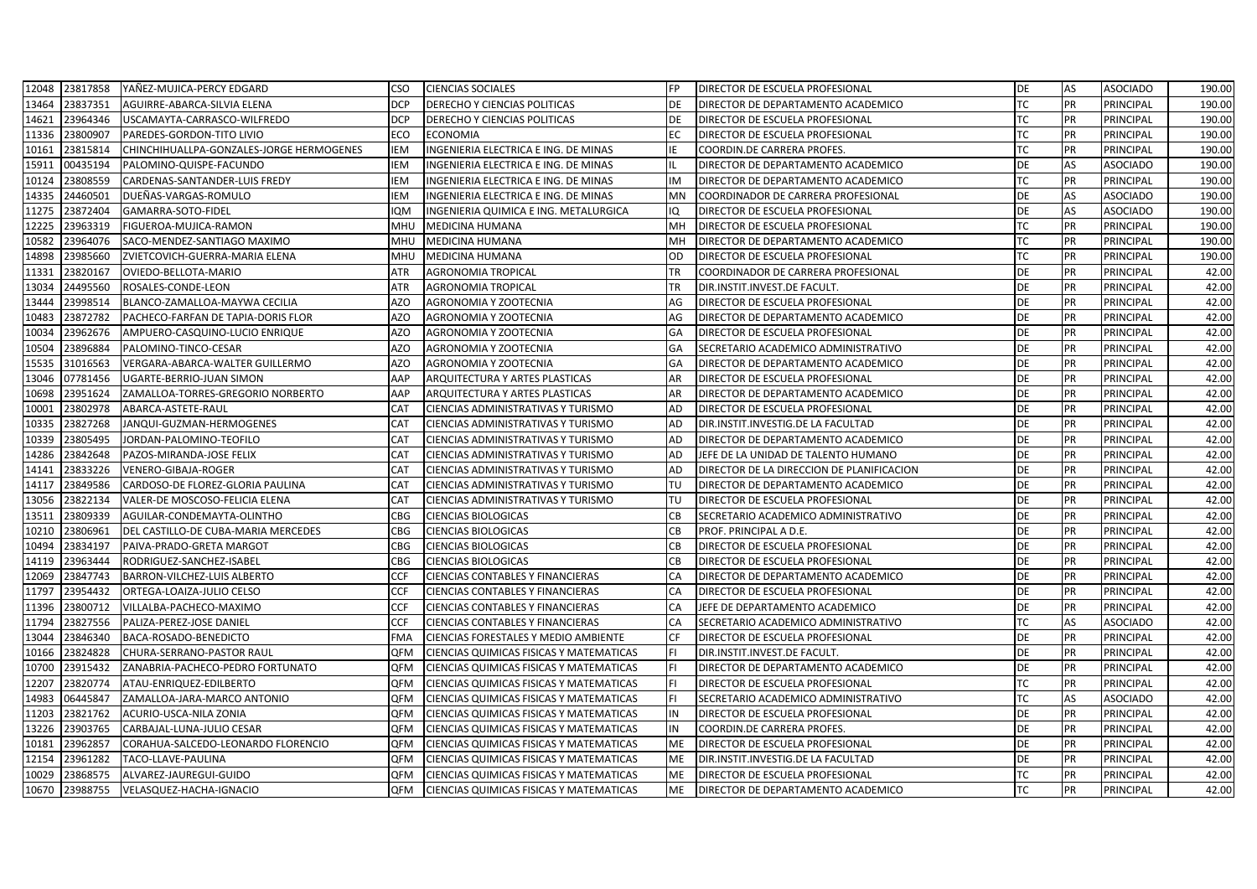| 12048 | 23817858 | YAÑEZ-MUJICA-PERCY EDGARD                | CSO        | <b>CIENCIAS SOCIALES</b>                | <b>FP</b> | <b>DIRECTOR DE ESCUELA PROFESIONAL</b>    | DE        | AS | <b>ASOCIADO</b> | 190.00 |
|-------|----------|------------------------------------------|------------|-----------------------------------------|-----------|-------------------------------------------|-----------|----|-----------------|--------|
| 13464 | 23837351 | AGUIRRE-ABARCA-SILVIA ELENA              | <b>DCP</b> | DERECHO Y CIENCIAS POLITICAS            | DE        | DIRECTOR DE DEPARTAMENTO ACADEMICO        | TC        | PR | PRINCIPAL       | 190.00 |
| 14621 | 23964346 | USCAMAYTA-CARRASCO-WILFREDO              | <b>DCP</b> | DERECHO Y CIENCIAS POLITICAS            | DE        | DIRECTOR DE ESCUELA PROFESIONAL           | ТC        | PR | PRINCIPAL       | 190.00 |
| 11336 | 23800907 | PAREDES-GORDON-TITO LIVIO                | <b>ECO</b> | <b>ECONOMIA</b>                         | EC.       | DIRECTOR DE ESCUELA PROFESIONAL           | <b>TC</b> | PR | PRINCIPAL       | 190.00 |
| 10161 | 23815814 | CHINCHIHUALLPA-GONZALES-JORGE HERMOGENES | <b>IEM</b> | INGENIERIA ELECTRICA E ING. DE MINAS    | IE        | COORDIN.DE CARRERA PROFES.                | <b>TC</b> | PR | PRINCIPAL       | 190.00 |
| 15911 | 00435194 | PALOMINO-QUISPE-FACUNDO                  | <b>IEM</b> | INGENIERIA ELECTRICA E ING. DE MINAS    | IL        | DIRECTOR DE DEPARTAMENTO ACADEMICO        | DE        | AS | <b>ASOCIADO</b> | 190.00 |
| 10124 | 23808559 | CARDENAS-SANTANDER-LUIS FREDY            | <b>IEM</b> | INGENIERIA ELECTRICA E ING. DE MINAS    | IM        | DIRECTOR DE DEPARTAMENTO ACADEMICO        | TC        | PR | PRINCIPAL       | 190.00 |
| 14335 | 24460501 | DUEÑAS-VARGAS-ROMULO                     | IEM        | INGENIERIA ELECTRICA E ING. DE MINAS    | MN        | COORDINADOR DE CARRERA PROFESIONAL        | DE        | AS | <b>ASOCIADO</b> | 190.00 |
| 11275 | 23872404 | GAMARRA-SOTO-FIDEL                       | <b>IQM</b> | INGENIERIA QUIMICA E ING. METALURGICA   | IQ        | DIRECTOR DE ESCUELA PROFESIONAL           | <b>DE</b> | AS | <b>ASOCIADO</b> | 190.00 |
| 12225 | 23963319 | FIGUEROA-MUJICA-RAMON                    | <b>MHU</b> | MEDICINA HUMANA                         | MH        | DIRECTOR DE ESCUELA PROFESIONAL           | <b>TC</b> | PR | PRINCIPAL       | 190.00 |
| 10582 | 23964076 | SACO-MENDEZ-SANTIAGO MAXIMO              | <b>MHU</b> | <b>MEDICINA HUMANA</b>                  | MH        | DIRECTOR DE DEPARTAMENTO ACADEMICO        | <b>TC</b> | PR | PRINCIPAL       | 190.00 |
| 14898 | 23985660 | ZVIETCOVICH-GUERRA-MARIA ELENA           | <b>MHU</b> | MEDICINA HUMANA                         | OD        | DIRECTOR DE ESCUELA PROFESIONAL           | <b>TC</b> | PR | PRINCIPAL       | 190.00 |
| 11331 | 23820167 | OVIEDO-BELLOTA-MARIO                     | <b>ATR</b> | AGRONOMIA TROPICAL                      | TR        | COORDINADOR DE CARRERA PROFESIONAL        | DE        | PR | PRINCIPAL       | 42.00  |
| 13034 | 24495560 | ROSALES-CONDE-LEON                       | <b>ATR</b> | AGRONOMIA TROPICAL                      | <b>TR</b> | DIR.INSTIT.INVEST.DE FACULT.              | <b>DE</b> | PR | PRINCIPAL       | 42.00  |
| 13444 | 23998514 | BLANCO-ZAMALLOA-MAYWA CECILIA            | <b>AZO</b> | AGRONOMIA Y ZOOTECNIA                   | AG        | DIRECTOR DE ESCUELA PROFESIONAL           | <b>DE</b> | PR | PRINCIPAL       | 42.00  |
| 10483 | 23872782 | PACHECO-FARFAN DE TAPIA-DORIS FLOR       | <b>AZO</b> | AGRONOMIA Y ZOOTECNIA                   | AG        | DIRECTOR DE DEPARTAMENTO ACADEMICO        | DE        | PR | PRINCIPAL       | 42.00  |
| 10034 | 23962676 | AMPUERO-CASQUINO-LUCIO ENRIQUE           | <b>AZO</b> | AGRONOMIA Y ZOOTECNIA                   | GA        | DIRECTOR DE ESCUELA PROFESIONAL           | DE        | PR | PRINCIPAL       | 42.00  |
| 10504 | 23896884 | PALOMINO-TINCO-CESAR                     | <b>AZO</b> | AGRONOMIA Y ZOOTECNIA                   | GA        | SECRETARIO ACADEMICO ADMINISTRATIVO       | DE        | PR | PRINCIPAL       | 42.00  |
| 15535 | 31016563 | VERGARA-ABARCA-WALTER GUILLERMO          | AZO        | AGRONOMIA Y ZOOTECNIA                   | GA        | DIRECTOR DE DEPARTAMENTO ACADEMICO        | DE        | PR | PRINCIPAL       | 42.00  |
| 13046 | 07781456 | UGARTE-BERRIO-JUAN SIMON                 | AAP        | ARQUITECTURA Y ARTES PLASTICAS          | AR        | DIRECTOR DE ESCUELA PROFESIONAL           | DE        | PR | PRINCIPAL       | 42.00  |
| 10698 | 23951624 | ZAMALLOA-TORRES-GREGORIO NORBERTO        | AAP        | ARQUITECTURA Y ARTES PLASTICAS          | AR        | DIRECTOR DE DEPARTAMENTO ACADEMICO        | DE        | PR | PRINCIPAL       | 42.00  |
| 10001 | 23802978 | ABARCA-ASTETE-RAUL                       | <b>CAT</b> | CIENCIAS ADMINISTRATIVAS Y TURISMO      | AD        | DIRECTOR DE ESCUELA PROFESIONAL           | <b>DE</b> | PR | PRINCIPAL       | 42.00  |
| 10335 | 23827268 | JANQUI-GUZMAN-HERMOGENES                 | CAT        | CIENCIAS ADMINISTRATIVAS Y TURISMO      | <b>AD</b> | DIR.INSTIT.INVESTIG.DE LA FACULTAD        | DE        | PR | PRINCIPAL       | 42.00  |
| 10339 | 23805495 | JORDAN-PALOMINO-TEOFILO                  | CAT        | CIENCIAS ADMINISTRATIVAS Y TURISMO      | <b>AD</b> | DIRECTOR DE DEPARTAMENTO ACADEMICO        | DE        | PR | PRINCIPAL       | 42.00  |
| 14286 | 23842648 | PAZOS-MIRANDA-JOSE FELIX                 | CAT        | CIENCIAS ADMINISTRATIVAS Y TURISMO      | AD        | JEFE DE LA UNIDAD DE TALENTO HUMANO       | DE        | PR | PRINCIPAL       | 42.00  |
| 14141 | 23833226 | VENERO-GIBAJA-ROGER                      | <b>CAT</b> | CIENCIAS ADMINISTRATIVAS Y TURISMO      | AD        | DIRECTOR DE LA DIRECCION DE PLANIFICACION | DE        | PR | PRINCIPAL       | 42.00  |
| 14117 | 23849586 | CARDOSO-DE FLOREZ-GLORIA PAULINA         | <b>CAT</b> | CIENCIAS ADMINISTRATIVAS Y TURISMO      | TU        | DIRECTOR DE DEPARTAMENTO ACADEMICO        | <b>DE</b> | PR | PRINCIPAL       | 42.00  |
| 13056 | 23822134 | VALER-DE MOSCOSO-FELICIA ELENA           | <b>CAT</b> | CIENCIAS ADMINISTRATIVAS Y TURISMO      | TU        | DIRECTOR DE ESCUELA PROFESIONAL           | DE        | PR | PRINCIPAL       | 42.00  |
| 13511 | 23809339 | AGUILAR-CONDEMAYTA-OLINTHO               | CBG        | <b>CIENCIAS BIOLOGICAS</b>              | CB        | SECRETARIO ACADEMICO ADMINISTRATIVO       | DE        | PR | PRINCIPAL       | 42.00  |
| 10210 | 23806961 | DEL CASTILLO-DE CUBA-MARIA MERCEDES      | <b>CBG</b> | CIENCIAS BIOLOGICAS                     | СB        | PROF. PRINCIPAL A D.E.                    | DE        | PR | PRINCIPAL       | 42.00  |
| 10494 | 23834197 | PAIVA-PRADO-GRETA MARGOT                 | <b>CBG</b> | <b>CIENCIAS BIOLOGICAS</b>              | CB        | DIRECTOR DE ESCUELA PROFESIONAL           | DE        | PR | PRINCIPAL       | 42.00  |
| 14119 | 23963444 | RODRIGUEZ-SANCHEZ-ISABEL                 | <b>CBG</b> | CIENCIAS BIOLOGICAS                     | <b>CB</b> | DIRECTOR DE ESCUELA PROFESIONAL           | <b>DE</b> | PR | PRINCIPAL       | 42.00  |
| 12069 | 23847743 | <b>BARRON-VILCHEZ-LUIS ALBERTO</b>       | <b>CCF</b> | CIENCIAS CONTABLES Y FINANCIERAS        | CA        | DIRECTOR DE DEPARTAMENTO ACADEMICO        | DE        | PR | PRINCIPAL       | 42.00  |
| 11797 | 23954432 | ORTEGA-LOAIZA-JULIO CELSO                | <b>CCF</b> | CIENCIAS CONTABLES Y FINANCIERAS        | CA        | DIRECTOR DE ESCUELA PROFESIONAL           | DE        | PR | PRINCIPAL       | 42.00  |
| 11396 | 23800712 | VILLALBA-PACHECO-MAXIMO                  | CCF        | CIENCIAS CONTABLES Y FINANCIERAS        | CA        | JEFE DE DEPARTAMENTO ACADEMICO            | DE        | PR | PRINCIPAL       | 42.00  |
| 11794 | 23827556 | PALIZA-PEREZ-JOSE DANIEL                 | CCF        | <b>CIENCIAS CONTABLES Y FINANCIERAS</b> | CA        | SECRETARIO ACADEMICO ADMINISTRATIVO       | <b>TC</b> | AS | <b>ASOCIADO</b> | 42.00  |
| 13044 | 23846340 | BACA-ROSADO-BENEDICTO                    | <b>FMA</b> | CIENCIAS FORESTALES Y MEDIO AMBIENTE    | <b>CF</b> | <b>DIRECTOR DE ESCUELA PROFESIONAL</b>    | <b>DE</b> | PR | PRINCIPAL       | 42.00  |
| 10166 | 23824828 | CHURA-SERRANO-PASTOR RAUL                | <b>QFM</b> | CIENCIAS QUIMICAS FISICAS Y MATEMATICAS | FI.       | DIR.INSTIT.INVEST.DE FACULT.              | DE        | PR | PRINCIPAL       | 42.00  |
| 10700 | 23915432 | ZANABRIA-PACHECO-PEDRO FORTUNATO         | QFM        | CIENCIAS QUIMICAS FISICAS Y MATEMATICAS | FI.       | DIRECTOR DE DEPARTAMENTO ACADEMICO        | DE        | PR | PRINCIPAL       | 42.00  |
| 12207 | 23820774 | ATAU-ENRIQUEZ-EDILBERTO                  | QFM        | CIENCIAS QUIMICAS FISICAS Y MATEMATICAS | FI.       | DIRECTOR DE ESCUELA PROFESIONAL           | <b>TC</b> | PR | PRINCIPAL       | 42.00  |
| 14983 | 06445847 | ZAMALLOA-JARA-MARCO ANTONIO              | <b>QFM</b> | CIENCIAS QUIMICAS FISICAS Y MATEMATICAS | FI.       | SECRETARIO ACADEMICO ADMINISTRATIVO       | TC        | AS | <b>ASOCIADO</b> | 42.00  |
| 11203 | 23821762 | ACURIO-USCA-NILA ZONIA                   | <b>QFM</b> | CIENCIAS QUIMICAS FISICAS Y MATEMATICAS | IN        | <b>DIRECTOR DE ESCUELA PROFESIONAL</b>    | DE        | PR | PRINCIPAL       | 42.00  |
| 13226 | 23903765 | CARBAJAL-LUNA-JULIO CESAR                | <b>QFM</b> | CIENCIAS QUIMICAS FISICAS Y MATEMATICAS | IN        | COORDIN.DE CARRERA PROFES.                | <b>DE</b> | PR | PRINCIPAL       | 42.00  |
| 10181 | 23962857 | CORAHUA-SALCEDO-LEONARDO FLORENCIO       | QFM        | CIENCIAS QUIMICAS FISICAS Y MATEMATICAS | ME        | DIRECTOR DE ESCUELA PROFESIONAL           | DE        | PR | PRINCIPAL       | 42.00  |
| 12154 | 23961282 | TACO-LLAVE-PAULINA                       | <b>QFM</b> | CIENCIAS QUIMICAS FISICAS Y MATEMATICAS | <b>ME</b> | DIR.INSTIT.INVESTIG.DE LA FACULTAD        | <b>DE</b> | PR | PRINCIPAL       | 42.00  |
| 10029 | 23868575 | ALVAREZ-JAUREGUI-GUIDO                   | OFM        | CIENCIAS QUIMICAS FISICAS Y MATEMATICAS | ME        | DIRECTOR DE ESCUELA PROFESIONAL           | <b>TC</b> | PR | PRINCIPAL       | 42.00  |
| 10670 | 23988755 | VELASQUEZ-HACHA-IGNACIO                  | QFM        | CIENCIAS QUIMICAS FISICAS Y MATEMATICAS | ME        | DIRECTOR DE DEPARTAMENTO ACADEMICO        | <b>TC</b> | PR | PRINCIPAL       | 42.00  |